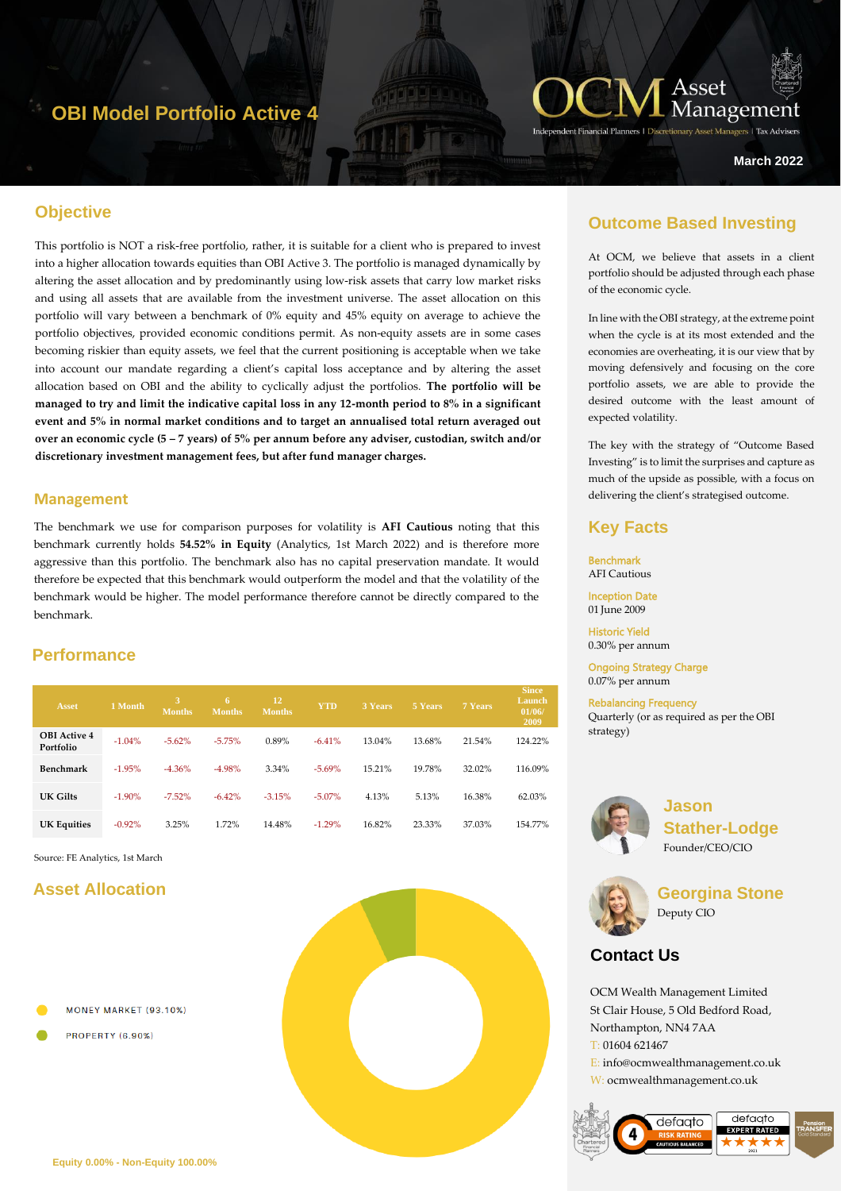# **OBI Model Portfolio Active 4**



#### **March 2022**

## **Objective**

This portfolio is NOT a risk-free portfolio, rather, it is suitable for a client who is prepared to invest into a higher allocation towards equities than OBI Active 3. The portfolio is managed dynamically by altering the asset allocation and by predominantly using low-risk assets that carry low market risks and using all assets that are available from the investment universe. The asset allocation on this portfolio will vary between a benchmark of 0% equity and 45% equity on average to achieve the portfolio objectives, provided economic conditions permit. As non-equity assets are in some cases becoming riskier than equity assets, we feel that the current positioning is acceptable when we take into account our mandate regarding a client's capital loss acceptance and by altering the asset allocation based on OBI and the ability to cyclically adjust the portfolios. **The portfolio will be managed to try and limit the indicative capital loss in any 12-month period to 8% in a significant event and 5% in normal market conditions and to target an annualised total return averaged out over an economic cycle (5 – 7 years) of 5% per annum before any adviser, custodian, switch and/or discretionary investment management fees, but after fund manager charges.**

#### **Management**

The benchmark we use for comparison purposes for volatility is **AFI Cautious** noting that this benchmark currently holds **54.52% in Equity** (Analytics, 1st March 2022) and is therefore more aggressive than this portfolio. The benchmark also has no capital preservation mandate. It would therefore be expected that this benchmark would outperform the model and that the volatility of the benchmark would be higher. The model performance therefore cannot be directly compared to the benchmark.

## **Performance**

| <b>Asset</b>                     | 1 Month  | <b>Months</b> | 6<br><b>Months</b> | 12<br><b>Months</b> | <b>YTD</b> | 3 Years | 5 Years | 7 Years | <b>Since</b><br>Launch<br>01/06/<br>2009 |
|----------------------------------|----------|---------------|--------------------|---------------------|------------|---------|---------|---------|------------------------------------------|
| <b>OBI</b> Active 4<br>Portfolio | $-1.04%$ | $-5.62\%$     | $-5.75%$           | 0.89%               | $-6.41%$   | 13.04%  | 13.68%  | 21.54%  | 124.22%                                  |
| Benchmark                        | $-1.95%$ | $-4.36%$      | $-4.98%$           | 3.34%               | $-5.69%$   | 15.21%  | 19.78%  | 32.02%  | 116.09%                                  |
| UK Gilts                         | $-1.90%$ | $-7.52\%$     | $-6.42%$           | $-3.15%$            | $-5.07\%$  | 4.13%   | 5.13%   | 16.38%  | 62.03%                                   |
| <b>UK Equities</b>               | $-0.92%$ | 3.25%         | 1.72%              | 14.48%              | $-1.29%$   | 16.82%  | 23.33%  | 37.03%  | 154.77%                                  |

Source: FE Analytics, 1st March

### **Asset Allocation**

- MONEY MARKET (93.10%)
- **PROPERTY (6.90%)**



## **Outcome Based Investing**

At OCM, we believe that assets in a client portfolio should be adjusted through each phase of the economic cycle.

In line with the OBI strategy, at the extreme point when the cycle is at its most extended and the economies are overheating, it is our view that by moving defensively and focusing on the core portfolio assets, we are able to provide the desired outcome with the least amount of expected volatility.

The key with the strategy of "Outcome Based Investing" is to limit the surprises and capture as much of the upside as possible, with a focus on delivering the client's strategised outcome.

#### **Key Facts**

Benchmark AFI Cautious

Inception Date 01 June 2009

Historic Yield 0.30% per annum

Ongoing Strategy Charge 0.07% per annum

Rebalancing Frequency Quarterly (or as required as per the OBI strategy)



**Jason Stather-Lodge** Founder/CEO/CIO



**Georgina Stone** Deputy CIO

# **Contact Us**

OCM Wealth Management Limited St Clair House, 5 Old Bedford Road, Northampton, NN4 7AA T: 01604 621467 E: info@ocmwealthmanagement.co.uk W: ocmwealthmanagement.co.uk